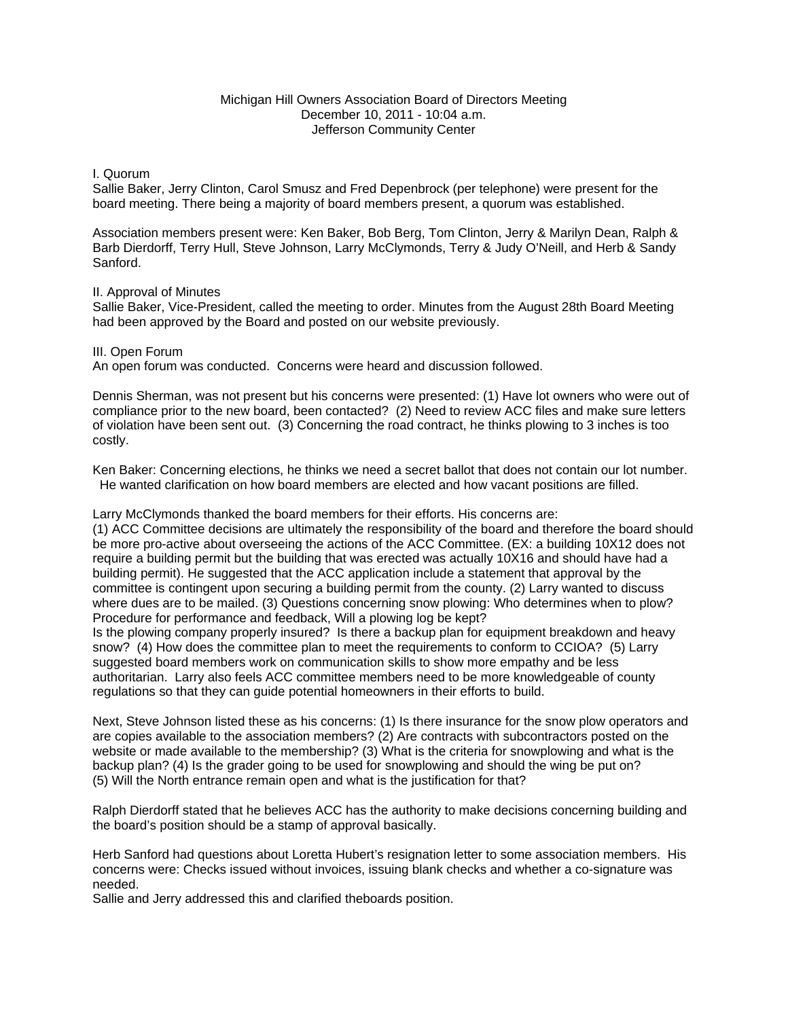# Michigan Hill Owners Association Board of Directors Meeting December 10, 2011 - 10:04 a.m. Jefferson Community Center

## I. Quorum

Sallie Baker, Jerry Clinton, Carol Smusz and Fred Depenbrock (per telephone) were present for the board meeting. There being a majority of board members present, a quorum was established.

Association members present were: Ken Baker, Bob Berg, Tom Clinton, Jerry & Marilyn Dean, Ralph & Barb Dierdorff, Terry Hull, Steve Johnson, Larry McClymonds, Terry & Judy O'Neill, and Herb & Sandy Sanford.

## II. Approval of Minutes

Sallie Baker, Vice-President, called the meeting to order. Minutes from the August 28th Board Meeting had been approved by the Board and posted on our website previously.

## III. Open Forum

An open forum was conducted. Concerns were heard and discussion followed.

Dennis Sherman, was not present but his concerns were presented: (1) Have lot owners who were out of compliance prior to the new board, been contacted? (2) Need to review ACC files and make sure letters of violation have been sent out. (3) Concerning the road contract, he thinks plowing to 3 inches is too costly.

Ken Baker: Concerning elections, he thinks we need a secret ballot that does not contain our lot number. He wanted clarification on how board members are elected and how vacant positions are filled.

Larry McClymonds thanked the board members for their efforts. His concerns are:

(1) ACC Committee decisions are ultimately the responsibility of the board and therefore the board should be more pro-active about overseeing the actions of the ACC Committee. (EX: a building 10X12 does not require a building permit but the building that was erected was actually 10X16 and should have had a building permit). He suggested that the ACC application include a statement that approval by the committee is contingent upon securing a building permit from the county. (2) Larry wanted to discuss where dues are to be mailed. (3) Questions concerning snow plowing: Who determines when to plow? Procedure for performance and feedback, Will a plowing log be kept?

Is the plowing company properly insured? Is there a backup plan for equipment breakdown and heavy snow? (4) How does the committee plan to meet the requirements to conform to CCIOA? (5) Larry suggested board members work on communication skills to show more empathy and be less authoritarian. Larry also feels ACC committee members need to be more knowledgeable of county regulations so that they can guide potential homeowners in their efforts to build.

Next, Steve Johnson listed these as his concerns: (1) Is there insurance for the snow plow operators and are copies available to the association members? (2) Are contracts with subcontractors posted on the website or made available to the membership? (3) What is the criteria for snowplowing and what is the backup plan? (4) Is the grader going to be used for snowplowing and should the wing be put on? (5) Will the North entrance remain open and what is the justification for that?

Ralph Dierdorff stated that he believes ACC has the authority to make decisions concerning building and the board's position should be a stamp of approval basically.

Herb Sanford had questions about Loretta Hubert's resignation letter to some association members. His concerns were: Checks issued without invoices, issuing blank checks and whether a co-signature was needed.

Sallie and Jerry addressed this and clarified theboards position.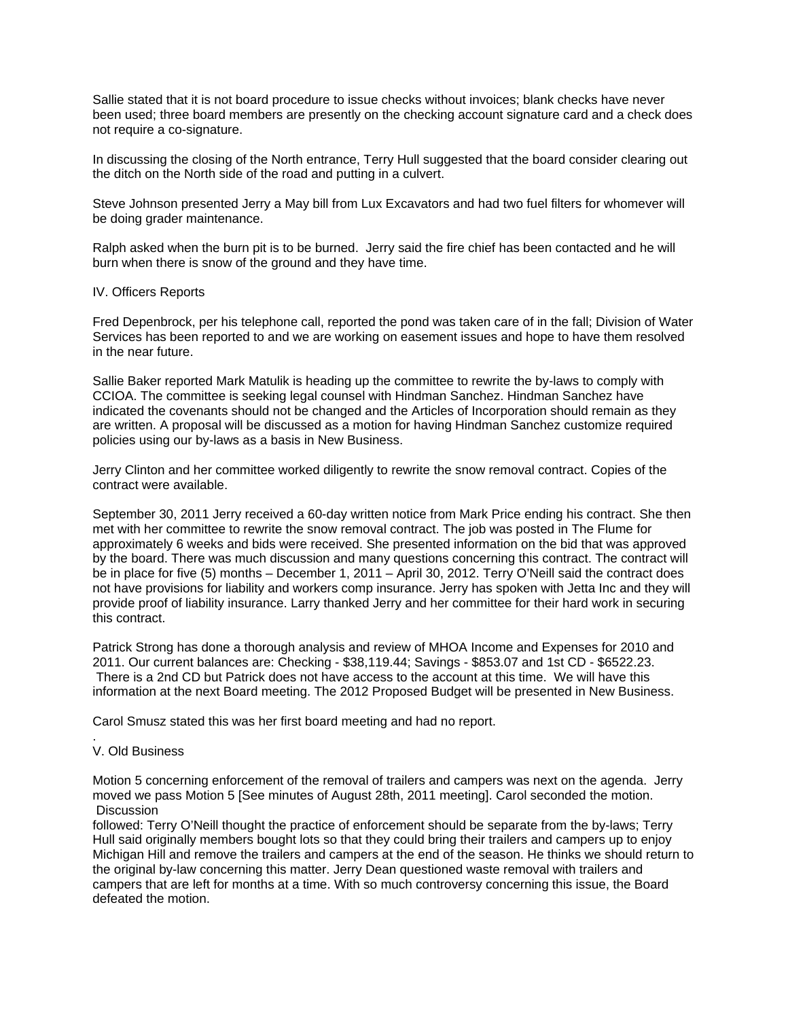Sallie stated that it is not board procedure to issue checks without invoices; blank checks have never been used; three board members are presently on the checking account signature card and a check does not require a co-signature.

In discussing the closing of the North entrance, Terry Hull suggested that the board consider clearing out the ditch on the North side of the road and putting in a culvert.

Steve Johnson presented Jerry a May bill from Lux Excavators and had two fuel filters for whomever will be doing grader maintenance.

Ralph asked when the burn pit is to be burned. Jerry said the fire chief has been contacted and he will burn when there is snow of the ground and they have time.

#### IV. Officers Reports

Fred Depenbrock, per his telephone call, reported the pond was taken care of in the fall; Division of Water Services has been reported to and we are working on easement issues and hope to have them resolved in the near future.

Sallie Baker reported Mark Matulik is heading up the committee to rewrite the by-laws to comply with CCIOA. The committee is seeking legal counsel with Hindman Sanchez. Hindman Sanchez have indicated the covenants should not be changed and the Articles of Incorporation should remain as they are written. A proposal will be discussed as a motion for having Hindman Sanchez customize required policies using our by-laws as a basis in New Business.

Jerry Clinton and her committee worked diligently to rewrite the snow removal contract. Copies of the contract were available.

September 30, 2011 Jerry received a 60-day written notice from Mark Price ending his contract. She then met with her committee to rewrite the snow removal contract. The job was posted in The Flume for approximately 6 weeks and bids were received. She presented information on the bid that was approved by the board. There was much discussion and many questions concerning this contract. The contract will be in place for five (5) months – December 1, 2011 – April 30, 2012. Terry O'Neill said the contract does not have provisions for liability and workers comp insurance. Jerry has spoken with Jetta Inc and they will provide proof of liability insurance. Larry thanked Jerry and her committee for their hard work in securing this contract.

Patrick Strong has done a thorough analysis and review of MHOA Income and Expenses for 2010 and 2011. Our current balances are: Checking - \$38,119.44; Savings - \$853.07 and 1st CD - \$6522.23. There is a 2nd CD but Patrick does not have access to the account at this time. We will have this information at the next Board meeting. The 2012 Proposed Budget will be presented in New Business.

Carol Smusz stated this was her first board meeting and had no report.

#### . V. Old Business

Motion 5 concerning enforcement of the removal of trailers and campers was next on the agenda. Jerry moved we pass Motion 5 [See minutes of August 28th, 2011 meeting]. Carol seconded the motion. **Discussion** 

followed: Terry O'Neill thought the practice of enforcement should be separate from the by-laws; Terry Hull said originally members bought lots so that they could bring their trailers and campers up to enjoy Michigan Hill and remove the trailers and campers at the end of the season. He thinks we should return to the original by-law concerning this matter. Jerry Dean questioned waste removal with trailers and campers that are left for months at a time. With so much controversy concerning this issue, the Board defeated the motion.